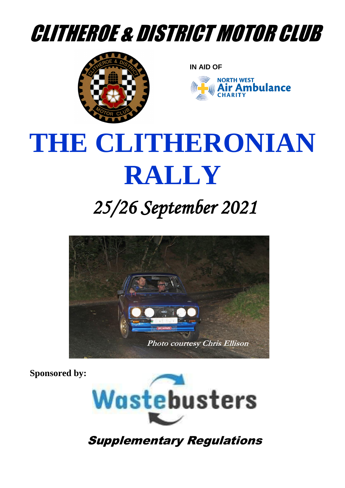# CLITHEROE & DISTRICT MOTOR CLUB



**IN AID OF**



# **THE CLITHERONIAN RALLY**

## *25/26 September 2021*



 **Sponsored by:**



Supplementary Regulations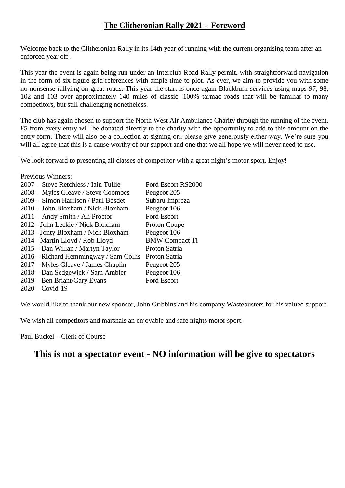#### **The Clitheronian Rally 2021 - Foreword**

Welcome back to the Clitheronian Rally in its 14th year of running with the current organising team after an enforced year off .

This year the event is again being run under an Interclub Road Rally permit, with straightforward navigation in the form of six figure grid references with ample time to plot. As ever, we aim to provide you with some no-nonsense rallying on great roads. This year the start is once again Blackburn services using maps 97, 98, 102 and 103 over approximately 140 miles of classic, 100% tarmac roads that will be familiar to many competitors, but still challenging nonetheless.

The club has again chosen to support the North West Air Ambulance Charity through the running of the event. £5 from every entry will be donated directly to the charity with the opportunity to add to this amount on the entry form. There will also be a collection at signing on; please give generously either way. We're sure you will all agree that this is a cause worthy of our support and one that we all hope we will never need to use.

We look forward to presenting all classes of competitor with a great night's motor sport. Enjoy!

Previous Winners:

| 2007 - Steve Retchless / Iain Tullie   | Ford Escort RS2000    |
|----------------------------------------|-----------------------|
| 2008 - Myles Gleave / Steve Coombes    | Peugeot 205           |
| 2009 - Simon Harrison / Paul Bosdet    | Subaru Impreza        |
| 2010 - John Bloxham / Nick Bloxham     | Peugeot 106           |
| 2011 - Andy Smith / Ali Proctor        | Ford Escort           |
| 2012 - John Leckie / Nick Bloxham      | Proton Coupe          |
| 2013 - Jonty Bloxham / Nick Bloxham    | Peugeot 106           |
| 2014 - Martin Lloyd / Rob Lloyd        | <b>BMW</b> Compact Ti |
| 2015 – Dan Willan / Martyn Taylor      | Proton Satria         |
| 2016 – Richard Hemmingway / Sam Collis | Proton Satria         |
| 2017 – Myles Gleave / James Chaplin    | Peugeot 205           |
| 2018 – Dan Sedgewick / Sam Ambler      | Peugeot 106           |
| 2019 – Ben Briant/Gary Evans           | Ford Escort           |
| $2020 - \text{Covid-19}$               |                       |

We would like to thank our new sponsor, John Gribbins and his company Wastebusters for his valued support.

We wish all competitors and marshals an enjoyable and safe nights motor sport.

Paul Buckel – Clerk of Course

#### **This is not a spectator event - NO information will be give to spectators**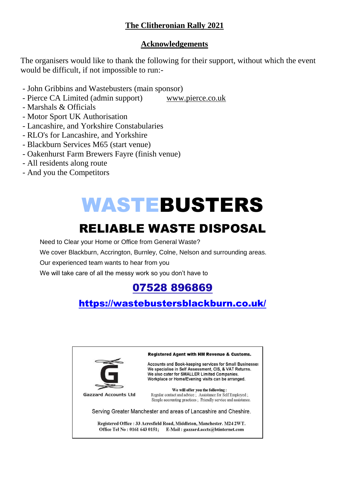#### **The Clitheronian Rally 2021**

#### **Acknowledgements**

The organisers would like to thank the following for their support, without which the event would be difficult, if not impossible to run:-

- John Gribbins and Wastebusters (main sponsor)
- Pierce CA Limited (admin support) [www.pierce.co.uk](http://www.pierce.co.uk/)
- Marshals & Officials
- Motor Sport UK Authorisation
- Lancashire, and Yorkshire Constabularies
- RLO's for Lancashire, and Yorkshire
- Blackburn Services M65 (start venue)
- Oakenhurst Farm Brewers Fayre (finish venue)
- All residents along route
- And you the Competitors

# WASTEBUSTERS

### RELIABLE WASTE DISPOSAL

Need to Clear your Home or Office from General Waste?

We cover Blackburn, Accrington, Burnley, Colne, Nelson and surrounding areas.

Our experienced team wants to hear from you

We will take care of all the messy work so you don't have to

### [07528 896869](https://www.google.co.uk/search?q=wastebusters+blackburn&sxsrf=ALeKk02yxRSPzOnOw6_EJLKpscGpB4IdZw%3A1616346958344&source=hp&ei=Tn9XYL6zEp3QgweFy6fIDA&iflsig=AINFCbYAAAAAYFeNXtlzgTgdzknpgNWFDvQWplqtcIZL&gs_ssp=eJzj4tVP1zc0TDMwSSlKz6syYLRSNagwsTBPskw1S0xKTkpNtDQ0tjKoMEpMSzM1sDBPNTY1sDQ0NPQSK08sLklNKgUSRcUKSTmJydlJpUV5AIUEGGg&oq=wASTEBUSTERS&gs_lcp=Cgdnd3Mtd2l6EAEYATICCAAyCAguEMcBEK8BMgIIADIICC4QxwEQrwEyAggAMggILhDHARCvATIICC4QxwEQrwEyCAguEMcBEK8BMggILhDHARCvATICCAA6BAgjECc6CAgAELEDEIMBOg4ILhCxAxCDARDHARCjAjoICC4QsQMQgwE6BQgAELEDOgsILhCxAxDHARCjAjoFCC4QsQM6AgguOggIABCxAxDJAzoFCAAQkgM6BAgAEAo6BAguEApQvA1YhD1gilJoAHAAeACAAWyIAeAIkgEDNy41mAEAoAEBqgEHZ3dzLXdpeg&sclient=gws-wiz)

### <https://wastebustersblackburn.co.uk/>

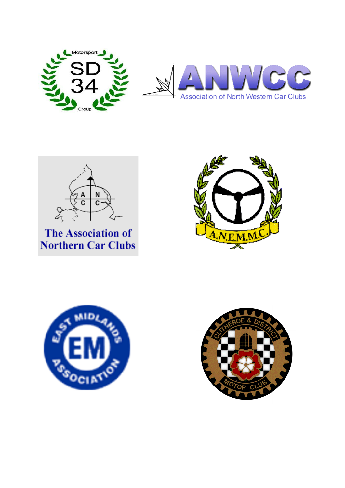



**The Association of Northern Car Clubs** 





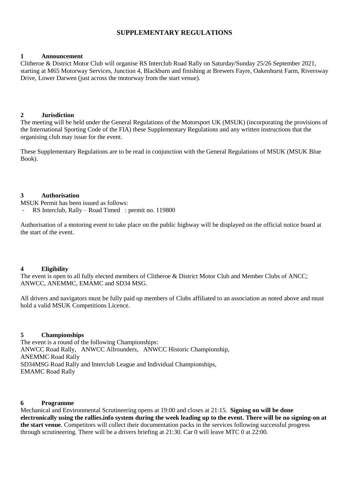#### **SUPPLEMENTARY REGULATIONS**

#### **1 Announcement**

Clitheroe & District Motor Club will organise RS Interclub Road Rally on Saturday/Sunday 25/26 September 2021, starting at M65 Motorway Services, Junction 4, Blackburn and finishing at Brewers Fayre, Oakenhurst Farm, Riversway Drive, Lower Darwen (just across the motorway from the start venue).

#### **2 Jurisdiction**

The meeting will be held under the General Regulations of the Motorsport UK (MSUK) (incorporating the provisions of the International Sporting Code of the FIA) these Supplementary Regulations and any written instructions that the organising club may issue for the event.

These Supplementary Regulations are to be read in conjunction with the General Regulations of MSUK (MSUK Blue Book).

#### **3 Authorisation**

MSUK Permit has been issued as follows:

RS Interclub, Rally – Road Timed : permit no. 119800

Authorisation of a motoring event to take place on the public highway will be displayed on the official notice board at the start of the event.

#### **4 Eligibility**

The event is open to all fully elected members of Clitheroe & District Motor Club and Member Clubs of ANCC; ANWCC, ANEMMC, EMAMC and SD34 MSG.

All drivers and navigators must be fully paid up members of Clubs affiliated to an association as noted above and must hold a valid MSUK Competitions Licence.

#### **5 Championships**

The event is a round of the following Championships: ANWCC Road Rally, ANWCC Allrounders, ANWCC Historic Championship, ANEMMC Road Rally SD34MSG Road Rally and Interclub League and Individual Championships, EMAMC Road Rally

#### **6 Programme**

Mechanical and Environmental Scrutineering opens at 19:00 and closes at 21:15. **Signing on will be done electronically using the rallies.info system during the week leading up to the event. There will be no signing-on at the start venue**. Competitors will collect their documentation packs in the services following successful progress through scrutineering. There will be a drivers briefing at 21:30. Car 0 will leave MTC 0 at 22:00.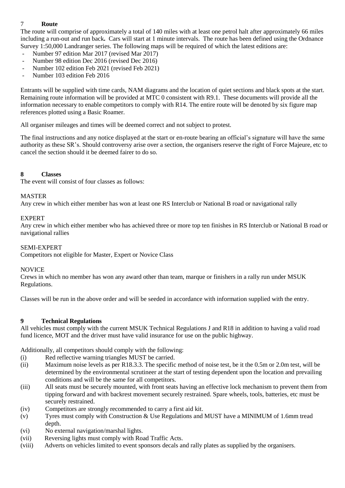#### 7 **Route**

The route will comprise of approximately a total of 140 miles with at least one petrol halt after approximately 66 miles including a run-out and run back**.** Cars will start at 1 minute intervals. The route has been defined using the Ordnance Survey 1:50,000 Landranger series. The following maps will be required of which the latest editions are:

- Number 97 edition Mar 2017 (revised Mar 2017)
- Number 98 edition Dec 2016 (revised Dec 2016)
- Number 102 edition Feb 2021 (revised Feb 2021)
- Number 103 edition Feb 2016

Entrants will be supplied with time cards, NAM diagrams and the location of quiet sections and black spots at the start. Remaining route information will be provided at MTC 0 consistent with R9.1. These documents will provide all the information necessary to enable competitors to comply with R14. The entire route will be denoted by six figure map references plotted using a Basic Roamer.

All organiser mileages and times will be deemed correct and not subject to protest.

The final instructions and any notice displayed at the start or en-route bearing an official's signature will have the same authority as these SR's. Should controversy arise over a section, the organisers reserve the right of Force Majeure, etc to cancel the section should it be deemed fairer to do so.

#### **8 Classes**

The event will consist of four classes as follows:

#### MASTER

Any crew in which either member has won at least one RS Interclub or National B road or navigational rally

#### EXPERT

Any crew in which either member who has achieved three or more top ten finishes in RS Interclub or National B road or navigational rallies

#### SEMI-EXPERT

Competitors not eligible for Master, Expert or Novice Class

#### NOVICE

Crews in which no member has won any award other than team, marque or finishers in a rally run under MSUK Regulations.

Classes will be run in the above order and will be seeded in accordance with information supplied with the entry.

#### **9 Technical Regulations**

All vehicles must comply with the current MSUK Technical Regulations J and R18 in addition to having a valid road fund licence, MOT and the driver must have valid insurance for use on the public highway.

Additionally, all competitors should comply with the following:

- (i) Red reflective warning triangles MUST be carried.
- (ii) Maximum noise levels as per R18.3.3. The specific method of noise test, be it the 0.5m or 2.0m test, will be determined by the environmental scrutineer at the start of testing dependent upon the location and prevailing conditions and will be the same for all competitors.
- (iii) All seats must be securely mounted, with front seats having an effective lock mechanism to prevent them from tipping forward and with backrest movement securely restrained. Spare wheels, tools, batteries, etc must be securely restrained.
- (iv) Competitors are strongly recommended to carry a first aid kit.
- (v) Tyres must comply with Construction & Use Regulations and MUST have a MINIMUM of 1.6mm tread depth.
- (vi) No external navigation/marshal lights.
- (vii) Reversing lights must comply with Road Traffic Acts.
- (viii) Adverts on vehicles limited to event sponsors decals and rally plates as supplied by the organisers.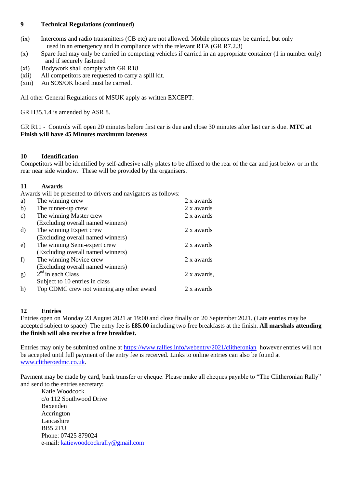#### **9 Technical Regulations (continued)**

- (ix) Intercoms and radio transmitters (CB etc) are not allowed. Mobile phones may be carried, but only used in an emergency and in compliance with the relevant RTA (GR R7.2.3)
- (x) Spare fuel may only be carried in competing vehicles if carried in an appropriate container (1 in number only) and if securely fastened
- (xi) Bodywork shall comply with GR R18
- (xii) All competitors are requested to carry a spill kit.
- (xiii) An SOS/OK board must be carried.

All other General Regulations of MSUK apply as written EXCEPT:

GR H35.1.4 is amended by ASR 8.

GR R11 - Controls will open 20 minutes before first car is due and close 30 minutes after last car is due. **MTC at Finish will have 45 Minutes maximum lateness**.

#### **10 Identification**

Competitors will be identified by self-adhesive rally plates to be affixed to the rear of the car and just below or in the rear near side window. These will be provided by the organisers.

#### **11 Awards**

Awards will be presented to drivers and navigators as follows:

| a)            | The winning crew                          | 2 x awards  |
|---------------|-------------------------------------------|-------------|
| b)            | The runner-up crew                        | 2 x awards  |
| $\mathbf{c})$ | The winning Master crew                   | 2 x awards  |
|               | (Excluding overall named winners)         |             |
| $\rm d$       | The winning Expert crew                   | 2 x awards  |
|               | (Excluding overall named winners)         |             |
| e)            | The winning Semi-expert crew              | 2 x awards  |
|               | (Excluding overall named winners)         |             |
| f)            | The winning Novice crew                   | 2 x awards  |
|               | (Excluding overall named winners)         |             |
| g)            | $2nd$ in each Class                       | 2 x awards, |
|               | Subject to 10 entries in class            |             |
| h)            | Top CDMC crew not winning any other award | 2 x awards  |
|               |                                           |             |

#### **12 Entries**

Entries open on Monday 23 August 2021 at 19:00 and close finally on 20 September 2021. (Late entries may be accepted subject to space) The entry fee is **£85.00** including two free breakfasts at the finish. **All marshals attending the finish will also receive a free breakfast.**

Entries may only be submitted online at <https://www.rallies.info/webentry/2021/clitheronian> however entries will not be accepted until full payment of the entry fee is received. Links to online entries can also be found at [www.clitheroedmc.co.uk.](http://www.clitheroedmc.co.uk/)

Payment may be made by card, bank transfer or cheque. Please make all cheques payable to "The Clitheronian Rally" and send to the entries secretary:

Katie Woodcock c/o 112 Southwood Drive Baxenden Accrington Lancashire BB5 2TU Phone: 07425 879024 e-mail: [katiewoodcockrally@gmail.com](mailto:katiewoodcockrally@gmail.com)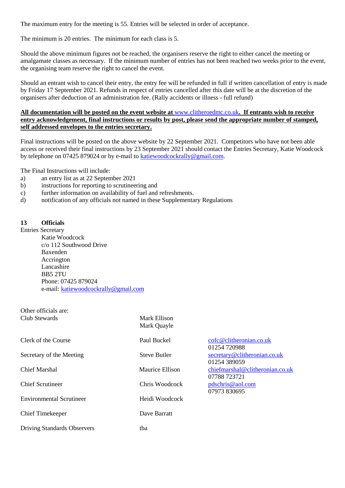The maximum entry for the meeting is 55. Entries will be selected in order of acceptance.

The minimum is 20 entries. The minimum for each class is 5.

Should the above minimum figures not be reached, the organisers reserve the right to either cancel the meeting or amalgamate classes as necessary. If the minimum number of entries has not been reached two weeks prior to the event, the organising team reserve the right to cancel the event.

Should an entrant wish to cancel their entry, the entry fee will be refunded in full if written cancellation of entry is made by Friday 17 September 2021. Refunds in respect of entries cancelled after this date will be at the discretion of the organisers after deduction of an administration fee. (Rally accidents or illness - full refund)

#### **All documentation will be posted on the event website at** [www.clitheroedmc.co.uk](http://www.clitheroedmc.co.uk/)**. If entrants wish to receive entry acknowledgement, final instructions or results by post, please send the appropriate number of stamped, self addressed envelopes to the entries secretary.**

Final instructions will be posted on the above website by 22 September 2021. Competitors who have not been able access or received their final instructions by 23 September 2021 should contact the Entries Secretary, Katie Woodcock by telephone on 07425 879024 or by e-mail to [katiewoodcockrally@gmail.com.](mailto:katiewoodcockrally@gmail.com)

The Final Instructions will include:

- a) an entry list as at 22 September 2021
- b) instructions for reporting to scrutineering and
- c) further information on availability of fuel and refreshments.
- d) notification of any officials not named in these Supplementary Regulations

#### **13 Officials**

Other officials are:

Entries Secretary Katie Woodcock c/o 112 Southwood Drive Baxenden Accrington Lancashire BB5 2TU Phone: 07425 879024 e-mail: [katiewoodcockrally@gmail.com](mailto:katiewoodcockrally@gmail.com)

Driving Standards Observers tba

| OUICI OITICIAIS AIC.<br>Club Stewards | Mark Ellison<br>Mark Quayle |                                                 |
|---------------------------------------|-----------------------------|-------------------------------------------------|
| Clerk of the Course                   | Paul Buckel                 | cofc@clitheronian.co.uk<br>01254 720988         |
| Secretary of the Meeting              | <b>Steve Butler</b>         | secretary@clitheronian.co.uk<br>01254 389059    |
| <b>Chief Marshal</b>                  | Maurice Ellison             | chiefmarshal@clitheronian.co.uk<br>07788 723721 |
| <b>Chief Scrutineer</b>               | Chris Woodcock              | pdschris@aol.com<br>07973 830695                |
| <b>Environmental Scrutineer</b>       | Heidi Woodcock              |                                                 |
| <b>Chief Timekeeper</b>               | Dave Barratt                |                                                 |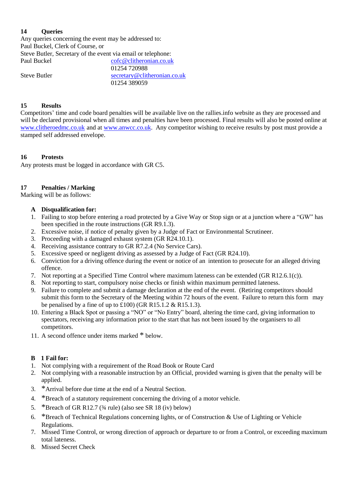#### **14 Queries**

Any queries concerning the event may be addressed to: Paul Buckel, Clerk of Course, or Steve Butler, Secretary of the event via email or telephone: Paul Buckel [cofc@clitheronian.co.uk](mailto:cofc@clitheronian.co.uk) 01254 720988 Steve Butler [secretary@clitheronian.co.uk](mailto:secretary@clitheronian.co.uk)

01254 389059

#### **15 Results**

Competitors' time and code board penalties will be available live on the rallies.info website as they are processed and will be declared provisional when all times and penalties have been processed. Final results will also be posted online at [www.clitheroedmc.co.uk](http://www.clitheroedmc.co.uk/) and at [www.anwcc.co.uk.](http://www.anwcc.co.uk/) Any competitor wishing to receive results by post must provide a stamped self addressed envelope.

#### **16 Protests**

Any protests must be logged in accordance with GR C5.

#### **17 Penalties / Marking**

Marking will be as follows:

#### **A Disqualification for:**

- 1. Failing to stop before entering a road protected by a Give Way or Stop sign or at a junction where a "GW" has been specified in the route instructions (GR R9.1.3).
- 2. Excessive noise, if notice of penalty given by a Judge of Fact or Environmental Scrutineer.
- 3. Proceeding with a damaged exhaust system (GR R24.10.1).
- 4. Receiving assistance contrary to GR R7.2.4 (No Service Cars).
- 5. Excessive speed or negligent driving as assessed by a Judge of Fact (GR R24.10).
- 6. Conviction for a driving offence during the event or notice of an intention to prosecute for an alleged driving offence.
- 7. Not reporting at a Specified Time Control where maximum lateness can be extended (GR R12.6.1(c)).
- 8. Not reporting to start, compulsory noise checks or finish within maximum permitted lateness.
- 9. Failure to complete and submit a damage declaration at the end of the event. (Retiring competitors should submit this form to the Secretary of the Meeting within 72 hours of the event. Failure to return this form may be penalised by a fine of up to  $\text{\pounds}100$ ) (GR R15.1.2 & R15.1.3).
- 10. Entering a Black Spot or passing a "NO" or "No Entry" board, altering the time card, giving information to spectators, receiving any information prior to the start that has not been issued by the organisers to all competitors.
- 11. A second offence under items marked \* below.

#### **B 1 Fail for:**

- 1. Not complying with a requirement of the Road Book or Route Card
- 2. Not complying with a reasonable instruction by an Official, provided warning is given that the penalty will be applied.
- 3. \*Arrival before due time at the end of a Neutral Section.
- 4. \*Breach of a statutory requirement concerning the driving of a motor vehicle.
- 5. \*Breach of GR R12.7 ( $\frac{3}{4}$  rule) (also see SR 18 (iv) below)
- 6. \*Breach of Technical Regulations concerning lights, or of Construction & Use of Lighting or Vehicle Regulations.
- 7. Missed Time Control, or wrong direction of approach or departure to or from a Control, or exceeding maximum total lateness.
- 8. Missed Secret Check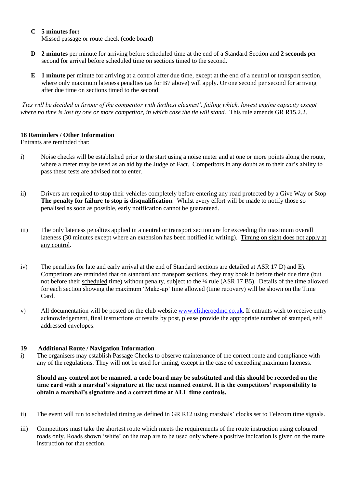#### **C 5 minutes for:**

Missed passage or route check (code board)

- **D 2 minutes** per minute for arriving before scheduled time at the end of a Standard Section and **2 seconds** per second for arrival before scheduled time on sections timed to the second.
- **E 1 minute** per minute for arriving at a control after due time, except at the end of a neutral or transport section, where only maximum lateness penalties (as for B7 above) will apply. Or one second per second for arriving after due time on sections timed to the second.

*Ties will be decided in favour of the competitor with furthest cleanest', failing which, lowest engine capacity except*  where no time is lost by one or more competitor, in which case the tie will stand. This rule amends GR R15.2.2.

#### **18 Reminders / Other Information**

Entrants are reminded that:

- i) Noise checks will be established prior to the start using a noise meter and at one or more points along the route, where a meter may be used as an aid by the Judge of Fact. Competitors in any doubt as to their car's ability to pass these tests are advised not to enter.
- ii) Drivers are required to stop their vehicles completely before entering any road protected by a Give Way or Stop **The penalty for failure to stop is disqualification**. Whilst every effort will be made to notify those so penalised as soon as possible, early notification cannot be guaranteed.
- iii) The only lateness penalties applied in a neutral or transport section are for exceeding the maximum overall lateness (30 minutes except where an extension has been notified in writing). Timing on sight does not apply at any control.
- iv) The penalties for late and early arrival at the end of Standard sections are detailed at ASR 17 D) and E). Competitors are reminded that on standard and transport sections, they may book in before their due time (but not before their scheduled time) without penalty, subject to the  $\frac{3}{4}$  rule (ASR 17 B5). Details of the time allowed for each section showing the maximum 'Make-up' time allowed (time recovery) will be shown on the Time Card.
- v) All documentation will be posted on the club website [www.clitheroedmc.co.uk.](http://www.clitheroedmc.co.uk/) If entrants wish to receive entry acknowledgement, final instructions or results by post, please provide the appropriate number of stamped, self addressed envelopes.

#### **19 Additional Route / Navigation Information**

i) The organisers may establish Passage Checks to observe maintenance of the correct route and compliance with any of the regulations. They will not be used for timing, except in the case of exceeding maximum lateness.

#### **Should any control not be manned, a code board may be substituted and this should be recorded on the time card with a marshal's signature at the next manned control. It is the competitors' responsibility to obtain a marshal's signature and a correct time at ALL time controls.**

- ii) The event will run to scheduled timing as defined in GR R12 using marshals' clocks set to Telecom time signals.
- iii) Competitors must take the shortest route which meets the requirements of the route instruction using coloured roads only. Roads shown 'white' on the map are to be used only where a positive indication is given on the route instruction for that section.